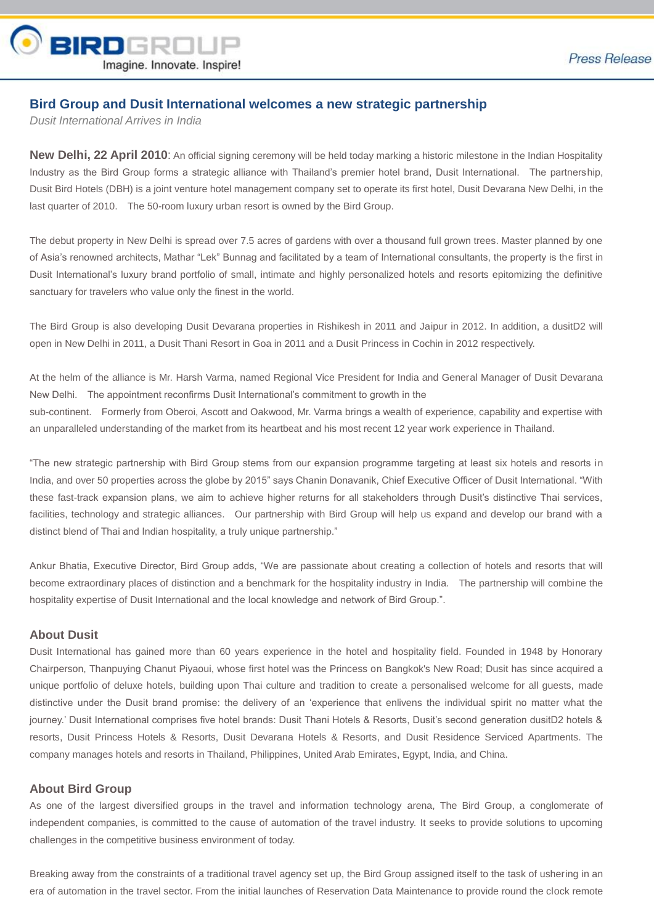

## **Bird Group and Dusit International welcomes a new strategic partnership**

*Dusit International Arrives in India*

**New Delhi, 22 April 2010:** An official signing ceremony will be held today marking a historic milestone in the Indian Hospitality Industry as the Bird Group forms a strategic alliance with Thailand's premier hotel brand, Dusit International. The partnership, Dusit Bird Hotels (DBH) is a joint venture hotel management company set to operate its first hotel, Dusit Devarana New Delhi, in the last quarter of 2010. The 50-room luxury urban resort is owned by the Bird Group.

The debut property in New Delhi is spread over 7.5 acres of gardens with over a thousand full grown trees. Master planned by one of Asia's renowned architects, Mathar "Lek" Bunnag and facilitated by a team of International consultants, the property is the first in Dusit International's luxury brand portfolio of small, intimate and highly personalized hotels and resorts epitomizing the definitive sanctuary for travelers who value only the finest in the world.

The Bird Group is also developing Dusit Devarana properties in Rishikesh in 2011 and Jaipur in 2012. In addition, a dusitD2 will open in New Delhi in 2011, a Dusit Thani Resort in Goa in 2011 and a Dusit Princess in Cochin in 2012 respectively.

At the helm of the alliance is Mr. Harsh Varma, named Regional Vice President for India and General Manager of Dusit Devarana New Delhi. The appointment reconfirms Dusit International's commitment to growth in the sub-continent. Formerly from Oberoi, Ascott and Oakwood, Mr. Varma brings a wealth of experience, capability and expertise with an unparalleled understanding of the market from its heartbeat and his most recent 12 year work experience in Thailand.

"The new strategic partnership with Bird Group stems from our expansion programme targeting at least six hotels and resorts in India, and over 50 properties across the globe by 2015" says Chanin Donavanik, Chief Executive Officer of Dusit International. "With these fast-track expansion plans, we aim to achieve higher returns for all stakeholders through Dusit's distinctive Thai services, facilities, technology and strategic alliances. Our partnership with Bird Group will help us expand and develop our brand with a distinct blend of Thai and Indian hospitality, a truly unique partnership."

Ankur Bhatia, Executive Director, Bird Group adds, "We are passionate about creating a collection of hotels and resorts that will become extraordinary places of distinction and a benchmark for the hospitality industry in India. The partnership will combine the hospitality expertise of Dusit International and the local knowledge and network of Bird Group.".

## **About Dusit**

Dusit International has gained more than 60 years experience in the hotel and hospitality field. Founded in 1948 by Honorary Chairperson, Thanpuying Chanut Piyaoui, whose first hotel was the Princess on Bangkok's New Road; Dusit has since acquired a unique portfolio of deluxe hotels, building upon Thai culture and tradition to create a personalised welcome for all guests, made distinctive under the Dusit brand promise: the delivery of an 'experience that enlivens the individual spirit no matter what the journey.' Dusit International comprises five hotel brands: Dusit Thani Hotels & Resorts, Dusit's second generation dusitD2 hotels & resorts, Dusit Princess Hotels & Resorts, Dusit Devarana Hotels & Resorts, and Dusit Residence Serviced Apartments. The company manages hotels and resorts in Thailand, Philippines, United Arab Emirates, Egypt, India, and China.

## **About Bird Group**

As one of the largest diversified groups in the travel and information technology arena, The Bird Group, a conglomerate of independent companies, is committed to the cause of automation of the travel industry. It seeks to provide solutions to upcoming challenges in the competitive business environment of today.

Breaking away from the constraints of a traditional travel agency set up, the Bird Group assigned itself to the task of ushering in an era of automation in the travel sector. From the initial launches of Reservation Data Maintenance to provide round the clock remote